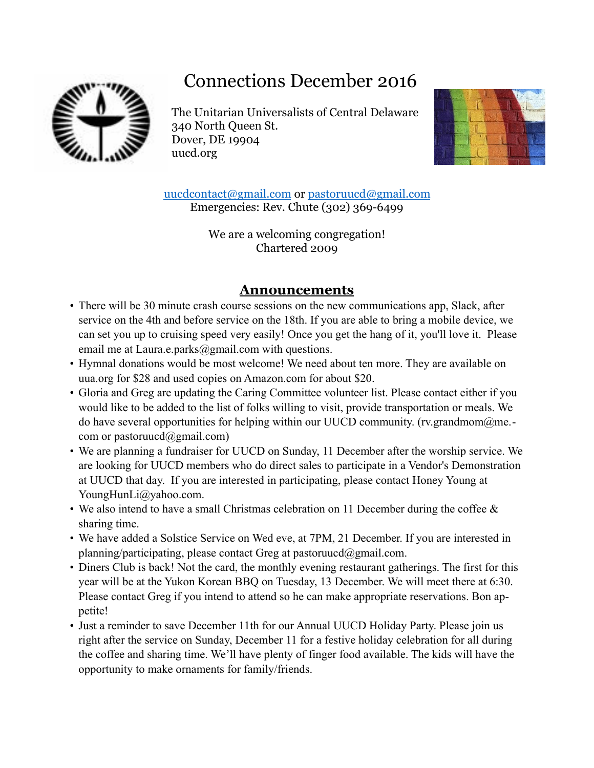# Connections December 2016



The Unitarian Universalists of Central Delaware 340 North Queen St. Dover, DE 19904 uucd.org



[uucdcontact@gmail.com](mailto:uucdcontact@gmail.com) or [pastoruucd@gmail.com](mailto:pastoruucd@gmail.com) Emergencies: Rev. Chute (302) 369-6499

> We are a welcoming congregation! Chartered 2009

# **Announcements**

- There will be 30 minute crash course sessions on the new communications app, Slack, after service on the 4th and before service on the 18th. If you are able to bring a mobile device, we can set you up to cruising speed very easily! Once you get the hang of it, you'll love it. Please email me at [Laura.e.parks@gmail.com](mailto:Laura.e.parks@gmail.com) with questions.
- Hymnal donations would be most welcome! We need about ten more. They are available on uua.org for \$28 and used copies on Amazon.com for about \$20.
- Gloria and Greg are updating the Caring Committee volunteer list. Please contact either if you would like to be added to the list of folks willing to visit, provide transportation or meals. We do have several opportunities for helping within our UUCD community. (rv.grandmom $@$ me.com or pastoruucd $(a)$ gmail.com)
- We are planning a fundraiser for UUCD on Sunday, 11 December after the worship service. We are looking for UUCD members who do direct sales to participate in a Vendor's Demonstration at UUCD that day. If you are interested in participating, please contact Honey Young at YoungHunLi@yahoo.com.
- We also intend to have a small Christmas celebration on 11 December during the coffee & sharing time.
- We have added a Solstice Service on Wed eve, at 7PM, 21 December. If you are interested in planning/participating, please contact Greg at pastoruucd $@g$ gmail.com.
- Diners Club is back! Not the card, the monthly evening restaurant gatherings. The first for this year will be at the Yukon Korean BBQ on Tuesday, 13 December. We will meet there at 6:30. Please contact Greg if you intend to attend so he can make appropriate reservations. Bon appetite!
- Just a reminder to save December 11th for our Annual UUCD Holiday Party. Please join us right after the service on Sunday, December 11 for a festive holiday celebration for all during the coffee and sharing time. We'll have plenty of finger food available. The kids will have the opportunity to make ornaments for family/friends.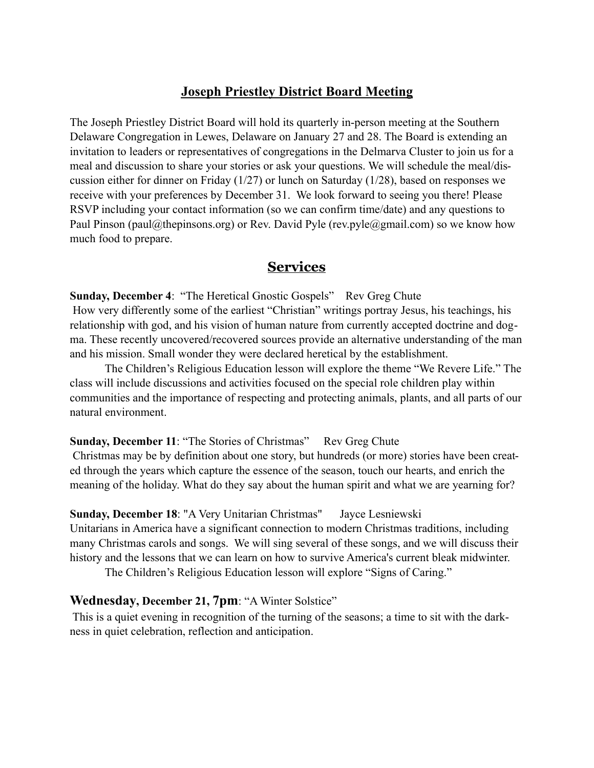## **Joseph Priestley District Board Meeting**

The Joseph Priestley District Board will hold its quarterly in-person meeting at the Southern Delaware Congregation in Lewes, Delaware on January 27 and 28. The Board is extending an invitation to leaders or representatives of congregations in the Delmarva Cluster to join us for a meal and discussion to share your stories or ask your questions. We will schedule the meal/discussion either for dinner on Friday (1/27) or lunch on Saturday (1/28), based on responses we receive with your preferences by December 31. We look forward to seeing you there! Please RSVP including your contact information (so we can confirm time/date) and any questions to Paul Pinson (paul@thepinsons.org) or Rev. David Pyle (rev.pyle@gmail.com) so we know how much food to prepare.

#### **Services**

**Sunday, December 4**: "The Heretical Gnostic Gospels" Rev Greg Chute How very differently some of the earliest "Christian" writings portray Jesus, his teachings, his relationship with god, and his vision of human nature from currently accepted doctrine and dogma. These recently uncovered/recovered sources provide an alternative understanding of the man and his mission. Small wonder they were declared heretical by the establishment.

 The Children's Religious Education lesson will explore the theme "We Revere Life." The class will include discussions and activities focused on the special role children play within communities and the importance of respecting and protecting animals, plants, and all parts of our natural environment.

#### **Sunday, December 11: "The Stories of Christmas"** Rev Greg Chute

 Christmas may be by definition about one story, but hundreds (or more) stories have been created through the years which capture the essence of the season, touch our hearts, and enrich the meaning of the holiday. What do they say about the human spirit and what we are yearning for?

#### **Sunday, December 18**: "A Very Unitarian Christmas" Jayce Lesniewski

Unitarians in America have a significant connection to modern Christmas traditions, including many Christmas carols and songs. We will sing several of these songs, and we will discuss their history and the lessons that we can learn on how to survive America's current bleak midwinter.

The Children's Religious Education lesson will explore "Signs of Caring."

#### **Wednesday, December 21, 7pm**: "A Winter Solstice"

 This is a quiet evening in recognition of the turning of the seasons; a time to sit with the darkness in quiet celebration, reflection and anticipation.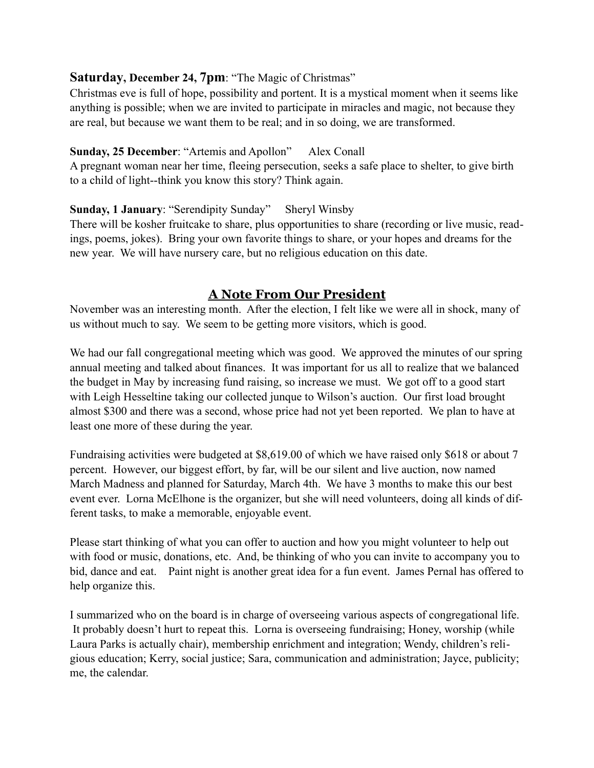#### **Saturday, December 24, 7pm**: "The Magic of Christmas"

Christmas eve is full of hope, possibility and portent. It is a mystical moment when it seems like anything is possible; when we are invited to participate in miracles and magic, not because they are real, but because we want them to be real; and in so doing, we are transformed.

#### **Sunday, 25 December: "Artemis and Apollon"** Alex Conall

A pregnant woman near her time, fleeing persecution, seeks a safe place to shelter, to give birth to a child of light--think you know this story? Think again.

**Sunday, 1 January**: "Serendipity Sunday" Sheryl Winsby

There will be kosher fruitcake to share, plus opportunities to share (recording or live music, readings, poems, jokes). Bring your own favorite things to share, or your hopes and dreams for the new year. We will have nursery care, but no religious education on this date.

## **A Note From Our President**

November was an interesting month. After the election, I felt like we were all in shock, many of us without much to say. We seem to be getting more visitors, which is good.

We had our fall congregational meeting which was good. We approved the minutes of our spring annual meeting and talked about finances. It was important for us all to realize that we balanced the budget in May by increasing fund raising, so increase we must. We got off to a good start with Leigh Hesseltine taking our collected junque to Wilson's auction. Our first load brought almost \$300 and there was a second, whose price had not yet been reported. We plan to have at least one more of these during the year.

Fundraising activities were budgeted at \$8,619.00 of which we have raised only \$618 or about 7 percent. However, our biggest effort, by far, will be our silent and live auction, now named March Madness and planned for Saturday, March 4th. We have 3 months to make this our best event ever. Lorna McElhone is the organizer, but she will need volunteers, doing all kinds of different tasks, to make a memorable, enjoyable event.

Please start thinking of what you can offer to auction and how you might volunteer to help out with food or music, donations, etc. And, be thinking of who you can invite to accompany you to bid, dance and eat. Paint night is another great idea for a fun event. James Pernal has offered to help organize this.

I summarized who on the board is in charge of overseeing various aspects of congregational life. It probably doesn't hurt to repeat this. Lorna is overseeing fundraising; Honey, worship (while Laura Parks is actually chair), membership enrichment and integration; Wendy, children's religious education; Kerry, social justice; Sara, communication and administration; Jayce, publicity; me, the calendar.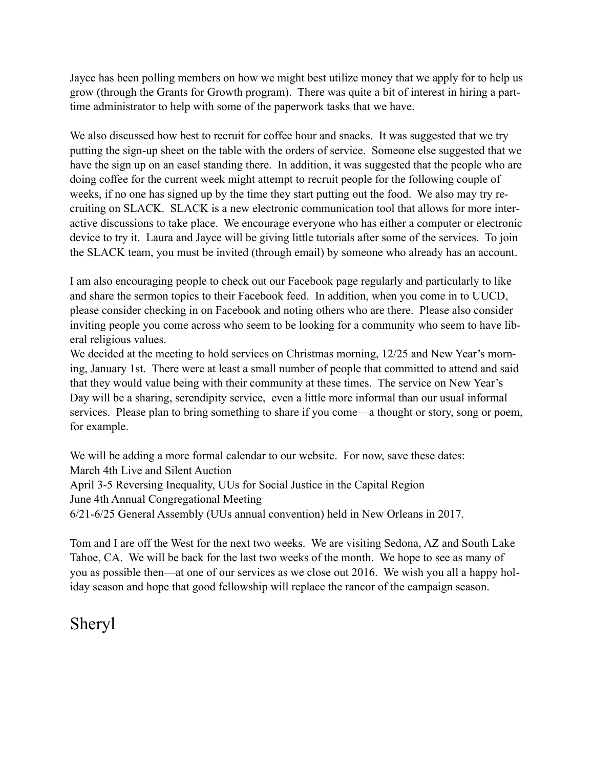Jayce has been polling members on how we might best utilize money that we apply for to help us grow (through the Grants for Growth program). There was quite a bit of interest in hiring a parttime administrator to help with some of the paperwork tasks that we have.

We also discussed how best to recruit for coffee hour and snacks. It was suggested that we try putting the sign-up sheet on the table with the orders of service. Someone else suggested that we have the sign up on an easel standing there. In addition, it was suggested that the people who are doing coffee for the current week might attempt to recruit people for the following couple of weeks, if no one has signed up by the time they start putting out the food. We also may try recruiting on SLACK. SLACK is a new electronic communication tool that allows for more interactive discussions to take place. We encourage everyone who has either a computer or electronic device to try it. Laura and Jayce will be giving little tutorials after some of the services. To join the SLACK team, you must be invited (through email) by someone who already has an account.

I am also encouraging people to check out our Facebook page regularly and particularly to like and share the sermon topics to their Facebook feed. In addition, when you come in to UUCD, please consider checking in on Facebook and noting others who are there. Please also consider inviting people you come across who seem to be looking for a community who seem to have liberal religious values.

We decided at the meeting to hold services on Christmas morning, 12/25 and New Year's morning, January 1st. There were at least a small number of people that committed to attend and said that they would value being with their community at these times. The service on New Year's Day will be a sharing, serendipity service, even a little more informal than our usual informal services. Please plan to bring something to share if you come—a thought or story, song or poem, for example.

We will be adding a more formal calendar to our website. For now, save these dates: March 4th Live and Silent Auction April 3-5 Reversing Inequality, UUs for Social Justice in the Capital Region June 4th Annual Congregational Meeting 6/21-6/25 General Assembly (UUs annual convention) held in New Orleans in 2017.

Tom and I are off the West for the next two weeks. We are visiting Sedona, AZ and South Lake Tahoe, CA. We will be back for the last two weeks of the month. We hope to see as many of you as possible then—at one of our services as we close out 2016. We wish you all a happy holiday season and hope that good fellowship will replace the rancor of the campaign season.

# Sheryl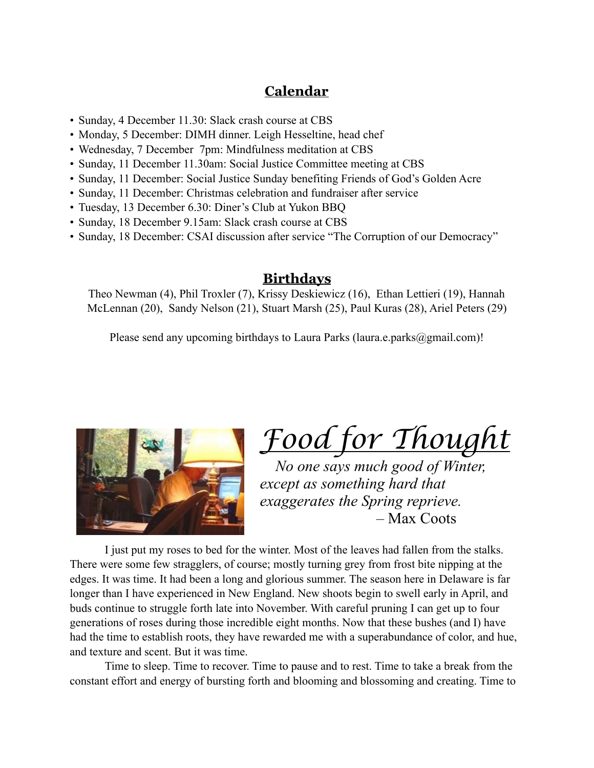# **Calendar**

- Sunday, 4 December 11.30: Slack crash course at CBS
- Monday, 5 December: DIMH dinner. Leigh Hesseltine, head chef
- Wednesday, 7 December 7pm: Mindfulness meditation at CBS
- Sunday, 11 December 11.30am: Social Justice Committee meeting at CBS
- Sunday, 11 December: Social Justice Sunday benefiting Friends of God's Golden Acre
- Sunday, 11 December: Christmas celebration and fundraiser after service
- Tuesday, 13 December 6.30: Diner's Club at Yukon BBQ
- Sunday, 18 December 9.15am: Slack crash course at CBS
- Sunday, 18 December: CSAI discussion after service "The Corruption of our Democracy"

#### **Birthdays**

Theo Newman (4), Phil Troxler (7), Krissy Deskiewicz (16), Ethan Lettieri (19), Hannah McLennan (20), Sandy Nelson (21), Stuart Marsh (25), Paul Kuras (28), Ariel Peters (29)

Please send any upcoming birthdays to Laura Parks (laura.e.parks (agmail.com)!



*Food for Thought*

 *No one says much good of Winter, except as something hard that exaggerates the Spring reprieve.*  – Max Coots

I just put my roses to bed for the winter. Most of the leaves had fallen from the stalks. There were some few stragglers, of course; mostly turning grey from frost bite nipping at the edges. It was time. It had been a long and glorious summer. The season here in Delaware is far longer than I have experienced in New England. New shoots begin to swell early in April, and buds continue to struggle forth late into November. With careful pruning I can get up to four generations of roses during those incredible eight months. Now that these bushes (and I) have had the time to establish roots, they have rewarded me with a superabundance of color, and hue, and texture and scent. But it was time.

Time to sleep. Time to recover. Time to pause and to rest. Time to take a break from the constant effort and energy of bursting forth and blooming and blossoming and creating. Time to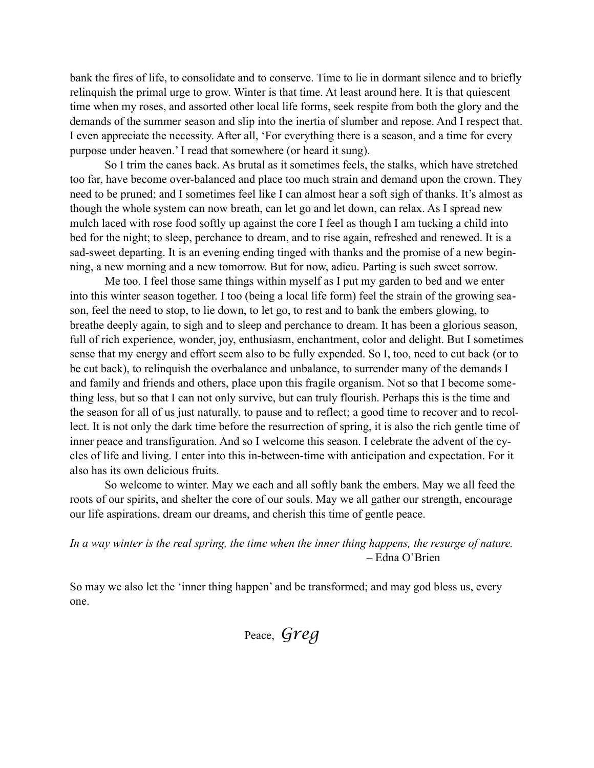bank the fires of life, to consolidate and to conserve. Time to lie in dormant silence and to briefly relinquish the primal urge to grow. Winter is that time. At least around here. It is that quiescent time when my roses, and assorted other local life forms, seek respite from both the glory and the demands of the summer season and slip into the inertia of slumber and repose. And I respect that. I even appreciate the necessity. After all, 'For everything there is a season, and a time for every purpose under heaven.' I read that somewhere (or heard it sung).

So I trim the canes back. As brutal as it sometimes feels, the stalks, which have stretched too far, have become over-balanced and place too much strain and demand upon the crown. They need to be pruned; and I sometimes feel like I can almost hear a soft sigh of thanks. It's almost as though the whole system can now breath, can let go and let down, can relax. As I spread new mulch laced with rose food softly up against the core I feel as though I am tucking a child into bed for the night; to sleep, perchance to dream, and to rise again, refreshed and renewed. It is a sad-sweet departing. It is an evening ending tinged with thanks and the promise of a new beginning, a new morning and a new tomorrow. But for now, adieu. Parting is such sweet sorrow.

Me too. I feel those same things within myself as I put my garden to bed and we enter into this winter season together. I too (being a local life form) feel the strain of the growing season, feel the need to stop, to lie down, to let go, to rest and to bank the embers glowing, to breathe deeply again, to sigh and to sleep and perchance to dream. It has been a glorious season, full of rich experience, wonder, joy, enthusiasm, enchantment, color and delight. But I sometimes sense that my energy and effort seem also to be fully expended. So I, too, need to cut back (or to be cut back), to relinquish the overbalance and unbalance, to surrender many of the demands I and family and friends and others, place upon this fragile organism. Not so that I become something less, but so that I can not only survive, but can truly flourish. Perhaps this is the time and the season for all of us just naturally, to pause and to reflect; a good time to recover and to recollect. It is not only the dark time before the resurrection of spring, it is also the rich gentle time of inner peace and transfiguration. And so I welcome this season. I celebrate the advent of the cycles of life and living. I enter into this in-between-time with anticipation and expectation. For it also has its own delicious fruits.

So welcome to winter. May we each and all softly bank the embers. May we all feed the roots of our spirits, and shelter the core of our souls. May we all gather our strength, encourage our life aspirations, dream our dreams, and cherish this time of gentle peace.

*In a way winter is the real spring, the time when the inner thing happens, the resurge of nature.* – Edna O'Brien

So may we also let the 'inner thing happen' and be transformed; and may god bless us, every one.

Peace, *Greg*